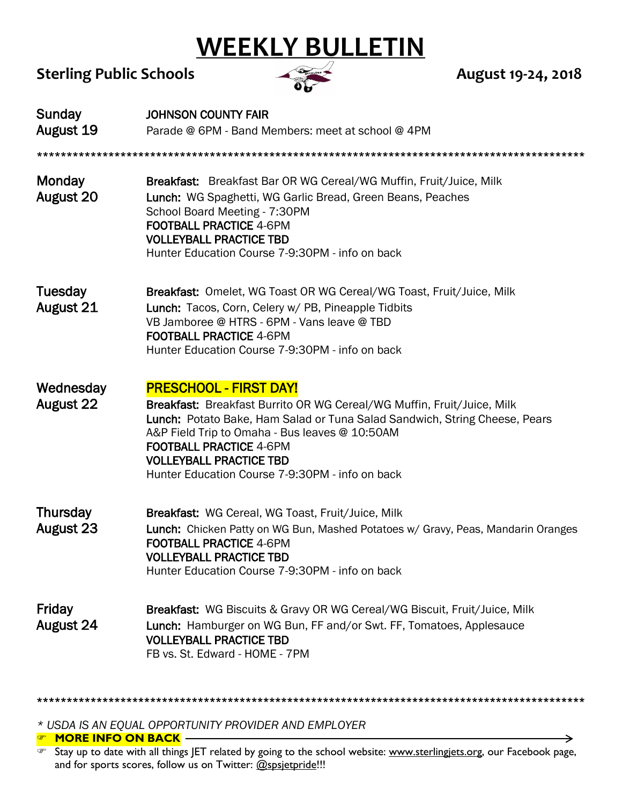## **WEEKLY BULLETIN**

## Sterling Public Schools **August 19-24, 2018**



 $\rightarrow$ 

| Sunday<br><b>August 19</b>    | <b>JOHNSON COUNTY FAIR</b><br>Parade @ 6PM - Band Members: meet at school @ 4PM                                                                                                                                                                                                                                                                                |
|-------------------------------|----------------------------------------------------------------------------------------------------------------------------------------------------------------------------------------------------------------------------------------------------------------------------------------------------------------------------------------------------------------|
| <b>Monday</b><br>August 20    | <b>Breakfast:</b> Breakfast Bar OR WG Cereal/WG Muffin, Fruit/Juice, Milk<br>Lunch: WG Spaghetti, WG Garlic Bread, Green Beans, Peaches<br>School Board Meeting - 7:30PM<br><b>FOOTBALL PRACTICE 4-6PM</b><br><b>VOLLEYBALL PRACTICE TBD</b><br>Hunter Education Course 7-9:30PM - info on back                                                                |
| Tuesday<br>August 21          | <b>Breakfast:</b> Omelet, WG Toast OR WG Cereal/WG Toast, Fruit/Juice, Milk<br>Lunch: Tacos, Corn, Celery w/ PB, Pineapple Tidbits<br>VB Jamboree @ HTRS - 6PM - Vans leave @ TBD<br><b>FOOTBALL PRACTICE 4-6PM</b><br>Hunter Education Course 7-9:30PM - info on back                                                                                         |
| Wednesday<br><b>August 22</b> | <b>PRESCHOOL - FIRST DAY!</b><br>Breakfast: Breakfast Burrito OR WG Cereal/WG Muffin, Fruit/Juice, Milk<br>Lunch: Potato Bake, Ham Salad or Tuna Salad Sandwich, String Cheese, Pears<br>A&P Field Trip to Omaha - Bus leaves @ 10:50AM<br><b>FOOTBALL PRACTICE 4-6PM</b><br><b>VOLLEYBALL PRACTICE TBD</b><br>Hunter Education Course 7-9:30PM - info on back |
| Thursday<br><b>August 23</b>  | Breakfast: WG Cereal, WG Toast, Fruit/Juice, Milk<br>Lunch: Chicken Patty on WG Bun, Mashed Potatoes w/ Gravy, Peas, Mandarin Oranges<br><b>FOOTBALL PRACTICE 4-6PM</b><br><b>VOLLEYBALL PRACTICE TBD</b><br>Hunter Education Course 7-9:30PM - info on back                                                                                                   |
| Friday<br>August 24           | Breakfast: WG Biscuits & Gravy OR WG Cereal/WG Biscuit, Fruit/Juice, Milk<br>Lunch: Hamburger on WG Bun, FF and/or Swt. FF, Tomatoes, Applesauce<br><b>VOLLEYBALL PRACTICE TBD</b><br>FB vs. St. Edward - HOME - 7PM                                                                                                                                           |

\*\*\*\*\*\*\*\*\*\*\*\*\*\*\*\*\*\*\*\*\*\*\*\*\*\*\*\*\*\*\*\*\*\*\*\*\*\*\*\*\*\*\*\*\*\*\*\*\*\*\*\*\*\*\*\*\*\*\*\*\*\*\*\*\*\*\*\*\*\*\*\*\*\*\*\*\*\*\*\*\*\*\*\*\*\*\*\*\*\*\*\*

*\* USDA IS AN EQUAL OPPORTUNITY PROVIDER AND EMPLOYER*

**EX MORE INFO ON BACK** 

The Stay up to date with all things JET related by going to the school website: www.sterlingjets.org, our Facebook page, and for sports scores, follow us on Twitter: [@spsjetpride!](https://twitter.com/spsjetpride?lang=en)!!